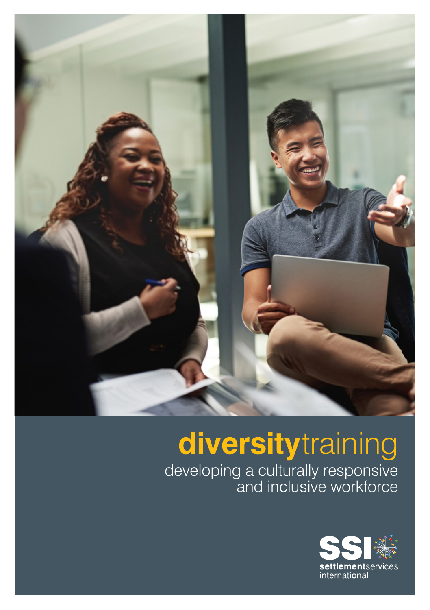

# **diversity**training

developing a culturally responsive and inclusive workforce

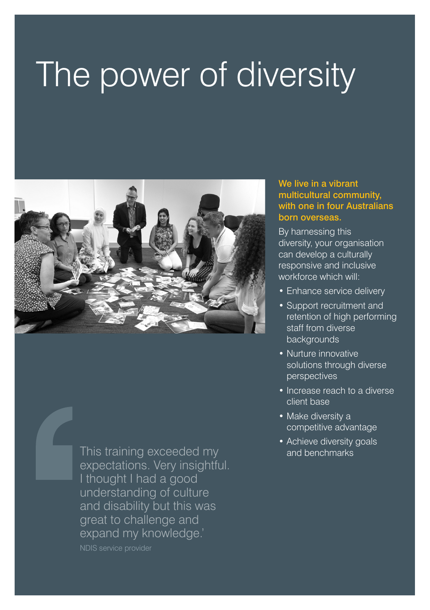## The power of diversity



This training exceeded my and benchmarks expectations. Very insightful. I thought I had a good understanding of culture and disability but this was great to challenge and expand my knowledge.'

NDIS service provider

#### We live in a vibrant multicultural community, with one in four Australians born overseas.

By harnessing this diversity, your organisation can develop a culturally responsive and inclusive workforce which will:

- Enhance service delivery
- Support recruitment and retention of high performing staff from diverse backgrounds
- Nurture innovative solutions through diverse perspectives
- Increase reach to a diverse client base
- Make diversity a competitive advantage
- Achieve diversity goals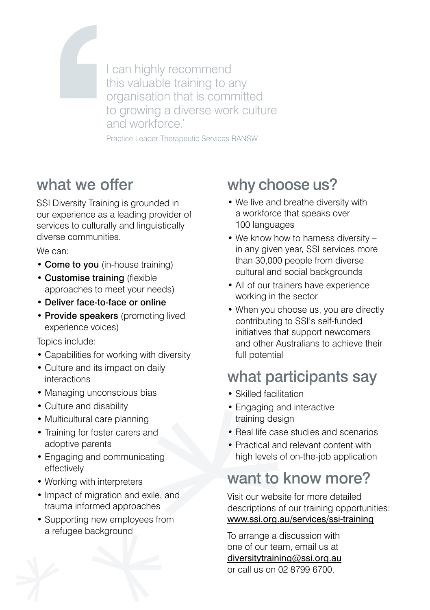I can highly recommend this valuable training to any organisation that is committed to growing a diverse work culture and workforce.'

Practice Leader Therapeutic Services RANSW

#### what we offer

SSI Diversity Training is grounded in our experience as a leading provider of services to culturally and linguistically diverse communities.

We can:

- Come to you (in-house training)
- Customise training (flexible approaches to meet your needs)
- Deliver face-to-face or online
- Provide speakers (promoting lived experience voices)

Topics include:

- Capabilities for working with diversity
- Culture and its impact on daily interactions
- Managing unconscious bias
- Culture and disability
- Multicultural care planning
- Training for foster carers and adoptive parents
- Engaging and communicating effectively
- Working with interpreters
- Impact of migration and exile, and trauma informed approaches
- Supporting new employees from a refugee background

### why choose us?

- We live and breathe diversity with a workforce that speaks over 100 languages
- We know how to harness diversity in any given year, SSI services more than 30,000 people from diverse cultural and social backgrounds
- All of our trainers have experience working in the sector
- When you choose us, you are directly contributing to SSI's self-funded initiatives that support newcomers and other Australians to achieve their full potential

### what participants say

- Skilled facilitation
- Engaging and interactive training design
- Real life case studies and scenarios
- Practical and relevant content with high levels of on-the-job application

#### want to know more?

Visit our website for more detailed descriptions of our training opportunities: www.ssi.org.au/services/ssi-training

To arrange a discussion with one of our team, email us at diversitytraining@ssi.org.au or call us on 02 8799 6700.